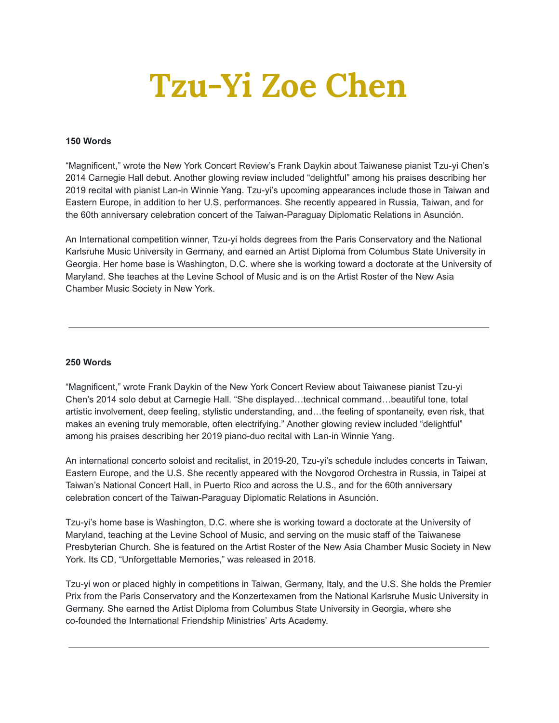## **Tzu-Yi Zoe Chen**

## **150 Words**

"Magnificent," wrote the New York Concert Review's Frank Daykin about Taiwanese pianist Tzu-yi Chen's 2014 Carnegie Hall debut. Another glowing review included "delightful" among his praises describing her 2019 recital with pianist Lan-in Winnie Yang. Tzu-yi's upcoming appearances include those in Taiwan and Eastern Europe, in addition to her U.S. performances. She recently appeared in Russia, Taiwan, and for the 60th anniversary celebration concert of the Taiwan-Paraguay Diplomatic Relations in Asunción.

An International competition winner, Tzu-yi holds degrees from the Paris Conservatory and the National Karlsruhe Music University in Germany, and earned an Artist Diploma from Columbus State University in Georgia. Her home base is Washington, D.C. where she is working toward a doctorate at the University of Maryland. She teaches at the Levine School of Music and is on the Artist Roster of the New Asia Chamber Music Society in New York.

## **250 Words**

"Magnificent," wrote Frank Daykin of the New York Concert Review about Taiwanese pianist Tzu-yi Chen's 2014 solo debut at Carnegie Hall. "She displayed…technical command…beautiful tone, total artistic involvement, deep feeling, stylistic understanding, and…the feeling of spontaneity, even risk, that makes an evening truly memorable, often electrifying." Another glowing review included "delightful" among his praises describing her 2019 piano-duo recital with Lan-in Winnie Yang.

An international concerto soloist and recitalist, in 2019-20, Tzu-yi's schedule includes concerts in Taiwan, Eastern Europe, and the U.S. She recently appeared with the Novgorod Orchestra in Russia, in Taipei at Taiwan's National Concert Hall, in Puerto Rico and across the U.S., and for the 60th anniversary celebration concert of the Taiwan-Paraguay Diplomatic Relations in Asunción.

Tzu-yi's home base is Washington, D.C. where she is working toward a doctorate at the University of Maryland, teaching at the Levine School of Music, and serving on the music staff of the Taiwanese Presbyterian Church. She is featured on the Artist Roster of the New Asia Chamber Music Society in New York. Its CD, "Unforgettable Memories," was released in 2018.

Tzu-yi won or placed highly in competitions in Taiwan, Germany, Italy, and the U.S. She holds the Premier Prix from the Paris Conservatory and the Konzertexamen from the National Karlsruhe Music University in Germany. She earned the Artist Diploma from Columbus State University in Georgia, where she co-founded the International Friendship Ministries' Arts Academy.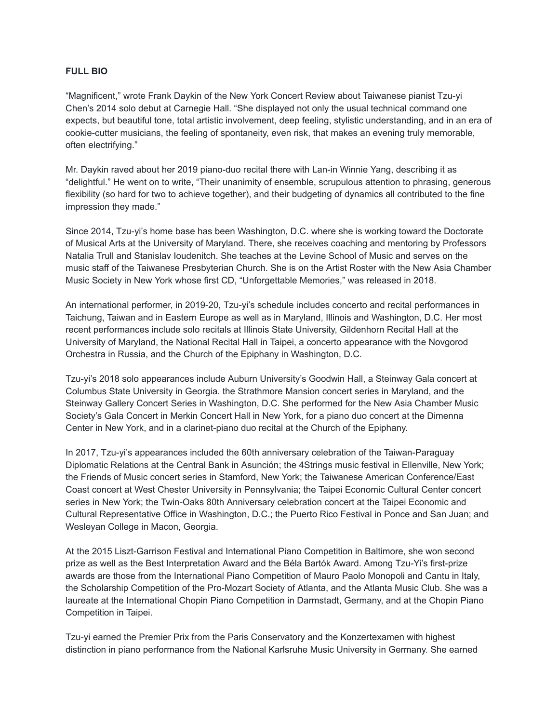## **FULL BIO**

"Magnificent," wrote Frank Daykin of the New York Concert Review about Taiwanese pianist Tzu-yi Chen's 2014 solo debut at Carnegie Hall. "She displayed not only the usual technical command one expects, but beautiful tone, total artistic involvement, deep feeling, stylistic understanding, and in an era of cookie-cutter musicians, the feeling of spontaneity, even risk, that makes an evening truly memorable, often electrifying."

Mr. Daykin raved about her 2019 piano-duo recital there with Lan-in Winnie Yang, describing it as "delightful." He went on to write, "Their unanimity of ensemble, scrupulous attention to phrasing, generous flexibility (so hard for two to achieve together), and their budgeting of dynamics all contributed to the fine impression they made."

Since 2014, Tzu-yi's home base has been Washington, D.C. where she is working toward the Doctorate of Musical Arts at the University of Maryland. There, she receives coaching and mentoring by Professors Natalia Trull and Stanislav Ioudenitch. She teaches at the Levine School of Music and serves on the music staff of the Taiwanese Presbyterian Church. She is on the Artist Roster with the New Asia Chamber Music Society in New York whose first CD, "Unforgettable Memories," was released in 2018.

An international performer, in 2019-20, Tzu-yi's schedule includes concerto and recital performances in Taichung, Taiwan and in Eastern Europe as well as in Maryland, Illinois and Washington, D.C. Her most recent performances include solo recitals at Illinois State University, Gildenhorn Recital Hall at the University of Maryland, the National Recital Hall in Taipei, a concerto appearance with the Novgorod Orchestra in Russia, and the Church of the Epiphany in Washington, D.C.

Tzu-yi's 2018 solo appearances include Auburn University's Goodwin Hall, a Steinway Gala concert at Columbus State University in Georgia. the Strathmore Mansion concert series in Maryland, and the Steinway Gallery Concert Series in Washington, D.C. She performed for the New Asia Chamber Music Society's Gala Concert in Merkin Concert Hall in New York, for a piano duo concert at the Dimenna Center in New York, and in a clarinet-piano duo recital at the Church of the Epiphany.

In 2017, Tzu-yi's appearances included the 60th anniversary celebration of the Taiwan-Paraguay Diplomatic Relations at the Central Bank in Asunción; the 4Strings music festival in Ellenville, New York; the Friends of Music concert series in Stamford, New York; the Taiwanese American Conference/East Coast concert at West Chester University in Pennsylvania; the Taipei Economic Cultural Center concert series in New York; the Twin-Oaks 80th Anniversary celebration concert at the Taipei Economic and Cultural Representative Office in Washington, D.C.; the Puerto Rico Festival in Ponce and San Juan; and Wesleyan College in Macon, Georgia.

At the 2015 Liszt-Garrison Festival and International Piano Competition in Baltimore, she won second prize as well as the Best Interpretation Award and the Béla Bartók Award. Among Tzu-Yi's first-prize awards are those from the International Piano Competition of Mauro Paolo Monopoli and Cantu in Italy, the Scholarship Competition of the Pro-Mozart Society of Atlanta, and the Atlanta Music Club. She was a laureate at the International Chopin Piano Competition in Darmstadt, Germany, and at the Chopin Piano Competition in Taipei.

Tzu-yi earned the Premier Prix from the Paris Conservatory and the Konzertexamen with highest distinction in piano performance from the National Karlsruhe Music University in Germany. She earned